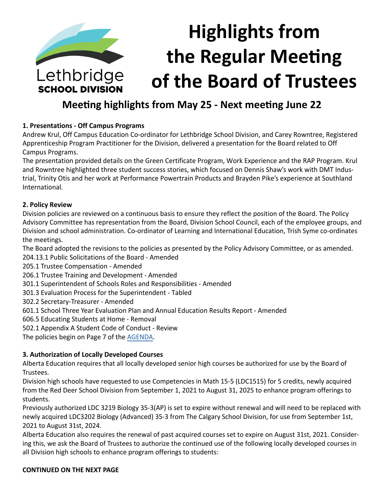

## **Meeting highlights from May 25 - Next meeting June 22**

## **1. Presentations - Off Campus Programs**

Andrew Krul, Off Campus Education Co-ordinator for Lethbridge School Division, and Carey Rowntree, Registered Apprenticeship Program Practitioner for the Division, delivered a presentation for the Board related to Off Campus Programs.

The presentation provided details on the Green Certificate Program, Work Experience and the RAP Program. Krul and Rowntree highlighted three student success stories, which focused on Dennis Shaw's work with DMT Industrial, Trinity Otis and her work at Performance Powertrain Products and Brayden Pike's experience at Southland International.

## **2. Policy Review**

Division policies are reviewed on a continuous basis to ensure they reflect the position of the Board. The Policy Advisory Committee has representation from the Board, Division School Council, each of the employee groups, and Division and school administration. Co-ordinator of Learning and International Education, Trish Syme co-ordinates the meetings.

The Board adopted the revisions to the policies as presented by the Policy Advisory Committee, or as amended.

204.13.1 Public Solicitations of the Board - Amended

205.1 Trustee Compensation - Amended

206.1 Trustee Training and Development - Amended

301.1 Superintendent of Schools Roles and Responsibilities - Amended

301.3 Evaluation Process for the Superintendent - Tabled

302.2 Secretary-Treasurer - Amended

601.1 School Three Year Evaluation Plan and Annual Education Results Report - Amended

606.5 Educating Students at Home - Removal

502.1 Appendix A Student Code of Conduct - Review

The policies begin on Page 7 of the [AGENDA](https://www.lethsd.ab.ca/download/347096).

## **3. Authorization of Locally Developed Courses**

Alberta Education requires that all locally developed senior high courses be authorized for use by the Board of Trustees.

Division high schools have requested to use Competencies in Math 15-5 (LDC1515) for 5 credits, newly acquired from the Red Deer School Division from September 1, 2021 to August 31, 2025 to enhance program offerings to students.

Previously authorized LDC 3219 Biology 35-3(AP) is set to expire without renewal and will need to be replaced with newly acquired LDC3202 Biology (Advanced) 35-3 from The Calgary School Division, for use from September 1st, 2021 to August 31st, 2024.

Alberta Education also requires the renewal of past acquired courses set to expire on August 31st, 2021. Considering this, we ask the Board of Trustees to authorize the continued use of the following locally developed courses in all Division high schools to enhance program offerings to students: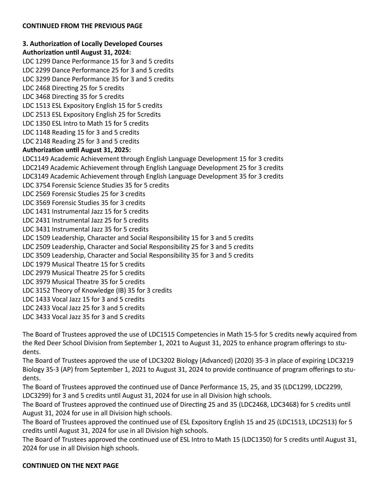#### **3. Authorization of Locally Developed Courses Authorization until August 31, 2024:**

LDC 1299 Dance Performance 15 for 3 and 5 credits

LDC 2299 Dance Performance 25 for 3 and 5 credits

LDC 3299 Dance Performance 35 for 3 and 5 credits

LDC 2468 Directing 25 for 5 credits

LDC 3468 Directing 35 for 5 credits

LDC 1513 ESL Expository English 15 for 5 credits

LDC 2513 ESL Expository English 25 for 5credits

LDC 1350 ESL Intro to Math 15 for 5 credits

LDC 1148 Reading 15 for 3 and 5 credits

LDC 2148 Reading 25 for 3 and 5 credits

## **Authorization until August 31, 2025:**

LDC1149 Academic Achievement through English Language Development 15 for 3 credits LDC2149 Academic Achievement through English Language Development 25 for 3 credits LDC3149 Academic Achievement through English Language Development 35 for 3 credits LDC 3754 Forensic Science Studies 35 for 5 credits LDC 2569 Forensic Studies 25 for 3 credits LDC 3569 Forensic Studies 35 for 3 credits LDC 1431 Instrumental Jazz 15 for 5 credits LDC 2431 Instrumental Jazz 25 for 5 credits LDC 3431 Instrumental Jazz 35 for 5 credits LDC 1509 Leadership, Character and Social Responsibility 15 for 3 and 5 credits LDC 2509 Leadership, Character and Social Responsibility 25 for 3 and 5 credits LDC 3509 Leadership, Character and Social Responsibility 35 for 3 and 5 credits LDC 1979 Musical Theatre 15 for 5 credits LDC 2979 Musical Theatre 25 for 5 credits LDC 3979 Musical Theatre 35 for 5 credits LDC 3152 Theory of Knowledge (IB) 35 for 3 credits LDC 1433 Vocal Jazz 15 for 3 and 5 credits LDC 2433 Vocal Jazz 25 for 3 and 5 credits

LDC 3433 Vocal Jazz 35 for 3 and 5 credits

The Board of Trustees approved the use of LDC1515 Competencies in Math 15-5 for 5 credits newly acquired from the Red Deer School Division from September 1, 2021 to August 31, 2025 to enhance program offerings to students.

The Board of Trustees approved the use of LDC3202 Biology (Advanced) (2020) 35-3 in place of expiring LDC3219 Biology 35-3 (AP) from September 1, 2021 to August 31, 2024 to provide continuance of program offerings to students.

The Board of Trustees approved the continued use of Dance Performance 15, 25, and 35 (LDC1299, LDC2299, LDC3299) for 3 and 5 credits until August 31, 2024 for use in all Division high schools.

The Board of Trustees approved the continued use of Directing 25 and 35 (LDC2468, LDC3468) for 5 credits until August 31, 2024 for use in all Division high schools.

The Board of Trustees approved the continued use of ESL Expository English 15 and 25 (LDC1513, LDC2513) for 5 credits until August 31, 2024 for use in all Division high schools.

The Board of Trustees approved the continued use of ESL Intro to Math 15 (LDC1350) for 5 credits until August 31, 2024 for use in all Division high schools.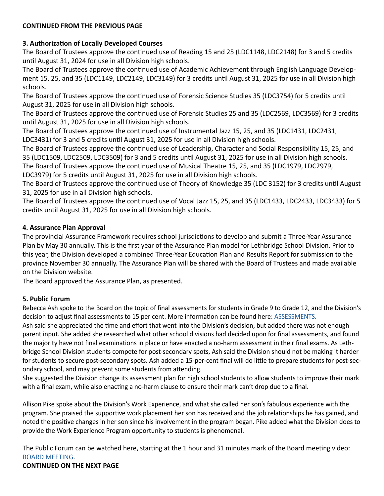## **3. Authorization of Locally Developed Courses**

The Board of Trustees approve the continued use of Reading 15 and 25 (LDC1148, LDC2148) for 3 and 5 credits until August 31, 2024 for use in all Division high schools.

The Board of Trustees approve the continued use of Academic Achievement through English Language Development 15, 25, and 35 (LDC1149, LDC2149, LDC3149) for 3 credits until August 31, 2025 for use in all Division high schools.

The Board of Trustees approve the continued use of Forensic Science Studies 35 (LDC3754) for 5 credits until August 31, 2025 for use in all Division high schools.

The Board of Trustees approve the continued use of Forensic Studies 25 and 35 (LDC2569, LDC3569) for 3 credits until August 31, 2025 for use in all Division high schools.

The Board of Trustees approve the continued use of Instrumental Jazz 15, 25, and 35 (LDC1431, LDC2431, LDC3431) for 3 and 5 credits until August 31, 2025 for use in all Division high schools.

The Board of Trustees approve the continued use of Leadership, Character and Social Responsibility 15, 25, and 35 (LDC1509, LDC2509, LDC3509) for 3 and 5 credits until August 31, 2025 for use in all Division high schools.

The Board of Trustees approve the continued use of Musical Theatre 15, 25, and 35 (LDC1979, LDC2979,

LDC3979) for 5 credits until August 31, 2025 for use in all Division high schools.

The Board of Trustees approve the continued use of Theory of Knowledge 35 (LDC 3152) for 3 credits until August 31, 2025 for use in all Division high schools.

The Board of Trustees approve the continued use of Vocal Jazz 15, 25, and 35 (LDC1433, LDC2433, LDC3433) for 5 credits until August 31, 2025 for use in all Division high schools.

## **4. Assurance Plan Approval**

The provincial Assurance Framework requires school jurisdictions to develop and submit a Three-Year Assurance Plan by May 30 annually. This is the first year of the Assurance Plan model for Lethbridge School Division. Prior to this year, the Division developed a combined Three-Year Education Plan and Results Report for submission to the province November 30 annually. The Assurance Plan will be shared with the Board of Trustees and made available on the Division website.

The Board approved the Assurance Plan, as presented.

## **5. Public Forum**

Rebecca Ash spoke to the Board on the topic of final assessments for students in Grade 9 to Grade 12, and the Division's decision to adjust final assessments to 15 per cent. More information can be found here: [ASSESSMENTS](https://www.lethsd.ab.ca/our-district/news/post/final-assessments-at-the-high-school-level-for-semester-two).

Ash said she appreciated the time and effort that went into the Division's decision, but added there was not enough parent input. She added she researched what other school divisions had decided upon for final assessments, and found the majority have not final examinations in place or have enacted a no-harm assessment in their final exams. As Lethbridge School Division students compete for post-secondary spots, Ash said the Division should not be making it harder for students to secure post-secondary spots. Ash added a 15-per-cent final will do little to prepare students for post-secondary school, and may prevent some students from attending.

She suggested the Division change its assessment plan for high school students to allow students to improve their mark with a final exam, while also enacting a no-harm clause to ensure their mark can't drop due to a final.

Allison Pike spoke about the Division's Work Experience, and what she called her son's fabulous experience with the program. She praised the supportive work placement her son has received and the job relationships he has gained, and noted the positive changes in her son since his involvement in the program began. Pike added what the Division does to provide the Work Experience Program opportunity to students is phenomenal.

The Public Forum can be watched here, starting at the 1 hour and 31 minutes mark of the Board meeting video: [BOARD MEETING.](https://www.youtube.com/watch?v=3Dbk7mRawpw)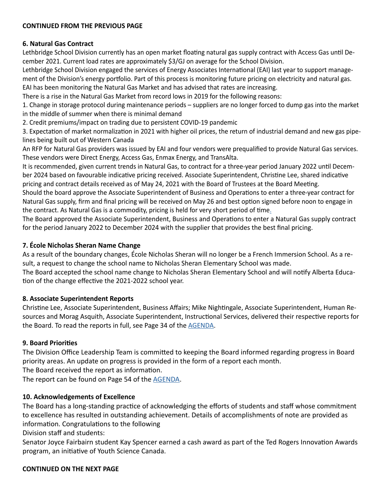#### **6. Natural Gas Contract**

Lethbridge School Division currently has an open market floating natural gas supply contract with Access Gas until December 2021. Current load rates are approximately \$3/GJ on average for the School Division.

Lethbridge School Division engaged the services of Energy Associates International (EAI) last year to support management of the Division's energy portfolio. Part of this process is monitoring future pricing on electricity and natural gas.

EAI has been monitoring the Natural Gas Market and has advised that rates are increasing.

There is a rise in the Natural Gas Market from record lows in 2019 for the following reasons:

1. Change in storage protocol during maintenance periods – suppliers are no longer forced to dump gas into the market in the middle of summer when there is minimal demand

2. Credit premiums/impact on trading due to persistent COVID-19 pandemic

3. Expectation of market normalization in 2021 with higher oil prices, the return of industrial demand and new gas pipelines being built out of Western Canada

An RFP for Natural Gas providers was issued by EAI and four vendors were prequalified to provide Natural Gas services. These vendors were Direct Energy, Access Gas, Enmax Energy, and TransAlta.

It is recommended, given current trends in Natural Gas, to contract for a three-year period January 2022 until December 2024 based on favourable indicative pricing received. Associate Superintendent, Christine Lee, shared indicative pricing and contract details received as of May 24, 2021 with the Board of Trustees at the Board Meeting.

Should the board approve the Associate Superintendent of Business and Operations to enter a three-year contract for Natural Gas supply, firm and final pricing will be received on May 26 and best option signed before noon to engage in the contract. As Natural Gas is a commodity, pricing is held for very short period of time.

The Board approved the Associate Superintendent, Business and Operations to enter a Natural Gas supply contract for the period January 2022 to December 2024 with the supplier that provides the best final pricing.

## **7. École Nicholas Sheran Name Change**

As a result of the boundary changes, École Nicholas Sheran will no longer be a French Immersion School. As a result, a request to change the school name to Nicholas Sheran Elementary School was made.

The Board accepted the school name change to Nicholas Sheran Elementary School and will notify Alberta Education of the change effective the 2021-2022 school year.

## **8. Associate Superintendent Reports**

Christine Lee, Associate Superintendent, Business Affairs; Mike Nightingale, Associate Superintendent, Human Resources and Morag Asquith, Associate Superintendent, Instructional Services, delivered their respective reports for the Board. To read the reports in full, see Page 34 of the [AGENDA](https://www.lethsd.ab.ca/download/347096).

## **9. Board Priorities**

The Division Office Leadership Team is committed to keeping the Board informed regarding progress in Board priority areas. An update on progress is provided in the form of a report each month.

The Board received the report as information.

The report can be found on Page 54 of the [AGENDA.](https://www.lethsd.ab.ca/download/347096)

## **10. Acknowledgements of Excellence**

The Board has a long-standing practice of acknowledging the efforts of students and staff whose commitment to excellence has resulted in outstanding achievement. Details of accomplishments of note are provided as information. Congratulations to the following

Division staff and students:

Senator Joyce Fairbairn student Kay Spencer earned a cash award as part of the Ted Rogers Innovation Awards program, an initiative of Youth Science Canada.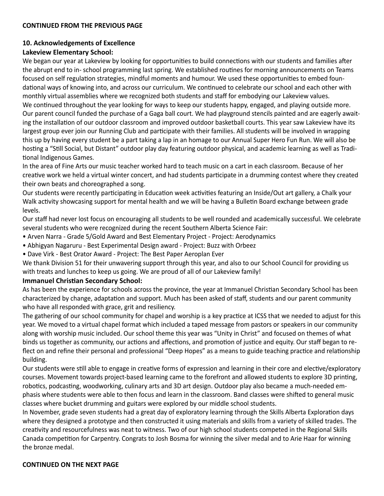## **10. Acknowledgements of Excellence**

## **Lakeview Elementary School:**

We began our year at Lakeview by looking for opportunities to build connections with our students and families after the abrupt end to in- school programming last spring. We established routines for morning announcements on Teams focused on self regulation strategies, mindful moments and humour. We used these opportunities to embed foundational ways of knowing into, and across our curriculum. We continued to celebrate our school and each other with monthly virtual assemblies where we recognized both students and staff for embodying our Lakeview values. We continued throughout the year looking for ways to keep our students happy, engaged, and playing outside more. Our parent council funded the purchase of a Gaga ball court. We had playground stencils painted and are eagerly awaiting the installation of our outdoor classroom and improved outdoor basketball courts. This year saw Lakeview have its largest group ever join our Running Club and participate with their families. All students will be involved in wrapping this up by having every student be a part taking a lap in an homage to our Annual Super Hero Fun Run. We will also be hosting a "Still Social, but Distant" outdoor play day featuring outdoor physical, and academic learning as well as Traditional Indigenous Games.

In the area of Fine Arts our music teacher worked hard to teach music on a cart in each classroom. Because of her creative work we held a virtual winter concert, and had students participate in a drumming contest where they created their own beats and choreographed a song.

Our students were recently participating in Education week activities featuring an Inside/Out art gallery, a Chalk your Walk activity showcasing support for mental health and we will be having a Bulletin Board exchange between grade levels.

Our staff had never lost focus on encouraging all students to be well rounded and academically successful. We celebrate several students who were recognized during the recent Southern Alberta Science Fair:

- Arven Narra Grade 5/Gold Award and Best Elementary Project Project: Aerodynamics
- Abhigyan Nagaruru Best Experimental Design award Project: Buzz with Orbeez
- Dave Virk Best Orator Award Project: The Best Paper Aeroplan Ever

We thank Division 51 for their unwavering support through this year, and also to our School Council for providing us with treats and lunches to keep us going. We are proud of all of our Lakeview family!

#### **Immanuel Christian Secondary School:**

As has been the experience for schools across the province, the year at Immanuel Christian Secondary School has been characterized by change, adaptation and support. Much has been asked of staff, students and our parent community who have all responded with grace, grit and resiliency.

The gathering of our school community for chapel and worship is a key practice at ICSS that we needed to adjust for this year. We moved to a virtual chapel format which included a taped message from pastors or speakers in our community along with worship music included. Our school theme this year was "Unity in Christ" and focused on themes of what binds us together as community, our actions and affections, and promotion of justice and equity. Our staff began to reflect on and refine their personal and professional "Deep Hopes" as a means to guide teaching practice and relationship building.

Our students were still able to engage in creative forms of expression and learning in their core and elective/exploratory courses. Movement towards project-based learning came to the forefront and allowed students to explore 3D printing, robotics, podcasting, woodworking, culinary arts and 3D art design. Outdoor play also became a much-needed emphasis where students were able to then focus and learn in the classroom. Band classes were shifted to general music classes where bucket drumming and guitars were explored by our middle school students.

In November, grade seven students had a great day of exploratory learning through the Skills Alberta Exploration days where they designed a prototype and then constructed it using materials and skills from a variety of skilled trades. The creativity and resourcefulness was neat to witness. Two of our high school students competed in the Regional Skills Canada competition for Carpentry. Congrats to Josh Bosma for winning the silver medal and to Arie Haar for winning the bronze medal.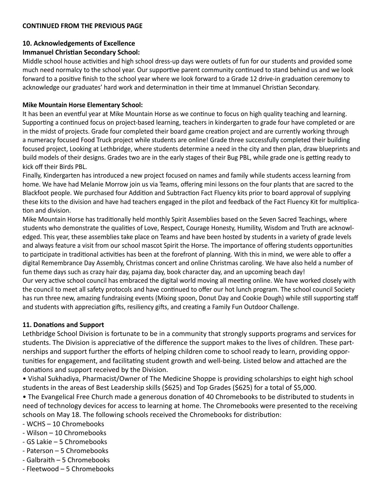## **10. Acknowledgements of Excellence**

## **Immanuel Christian Secondary School:**

Middle school house activities and high school dress-up days were outlets of fun for our students and provided some much need normalcy to the school year. Our supportive parent community continued to stand behind us and we look forward to a positive finish to the school year where we look forward to a Grade 12 drive-in graduation ceremony to acknowledge our graduates' hard work and determination in their time at Immanuel Christian Secondary.

#### **Mike Mountain Horse Elementary School:**

It has been an eventful year at Mike Mountain Horse as we continue to focus on high quality teaching and learning. Supporting a continued focus on project-based learning, teachers in kindergarten to grade four have completed or are in the midst of projects. Grade four completed their board game creation project and are currently working through a numeracy focused Food Truck project while students are online! Grade three successfully completed their building focused project, Looking at Lethbridge, where students determine a need in the city and then plan, draw blueprints and build models of their designs. Grades two are in the early stages of their Bug PBL, while grade one is getting ready to kick off their Birds PBL.

Finally, Kindergarten has introduced a new project focused on names and family while students access learning from home. We have had Melanie Morrow join us via Teams, offering mini lessons on the four plants that are sacred to the Blackfoot people. We purchased four Addition and Subtraction Fact Fluency kits prior to board approval of supplying these kits to the division and have had teachers engaged in the pilot and feedback of the Fact Fluency Kit for multiplication and division.

Mike Mountain Horse has traditionally held monthly Spirit Assemblies based on the Seven Sacred Teachings, where students who demonstrate the qualities of Love, Respect, Courage Honesty, Humility, Wisdom and Truth are acknowledged. This year, these assemblies take place on Teams and have been hosted by students in a variety of grade levels and always feature a visit from our school mascot Spirit the Horse. The importance of offering students opportunities to participate in traditional activities has been at the forefront of planning. With this in mind, we were able to offer a digital Remembrance Day Assembly, Christmas concert and online Christmas caroling. We have also held a number of fun theme days such as crazy hair day, pajama day, book character day, and an upcoming beach day!

Our very active school council has embraced the digital world moving all meeting online. We have worked closely with the council to meet all safety protocols and have continued to offer our hot lunch program. The school council Society has run three new, amazing fundraising events (Mixing spoon, Donut Day and Cookie Dough) while still supporting staff and students with appreciation gifts, resiliency gifts, and creating a Family Fun Outdoor Challenge.

## **11. Donations and Support**

Lethbridge School Division is fortunate to be in a community that strongly supports programs and services for students. The Division is appreciative of the difference the support makes to the lives of children. These partnerships and support further the efforts of helping children come to school ready to learn, providing opportunities for engagement, and facilitating student growth and well-being. Listed below and attached are the donations and support received by the Division.

• Vishal Sukhadiya, Pharmacist/Owner of The Medicine Shoppe is providing scholarships to eight high school students in the areas of Best Leadership skills (\$625) and Top Grades (\$625) for a total of \$5,000.

• The Evangelical Free Church made a generous donation of 40 Chromebooks to be distributed to students in need of technology devices for access to learning at home. The Chromebooks were presented to the receiving schools on May 18. The following schools received the Chromebooks for distribution:

- WCHS 10 Chromebooks
- Wilson 10 Chromebooks
- GS Lakie 5 Chromebooks
- Paterson 5 Chromebooks
- Galbraith 5 Chromebooks
- Fleetwood 5 Chromebooks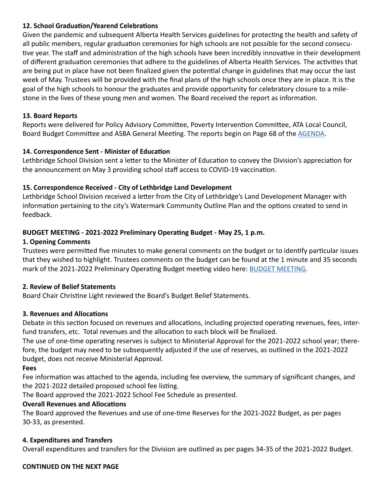## **12. School Graduation/Yearend Celebrations**

Given the pandemic and subsequent Alberta Health Services guidelines for protecting the health and safety of all public members, regular graduation ceremonies for high schools are not possible for the second consecutive year. The staff and administration of the high schools have been incredibly innovative in their development of different graduation ceremonies that adhere to the guidelines of Alberta Health Services. The activities that are being put in place have not been finalized given the potential change in guidelines that may occur the last week of May. Trustees will be provided with the final plans of the high schools once they are in place. It is the goal of the high schools to honour the graduates and provide opportunity for celebratory closure to a milestone in the lives of these young men and women. The Board received the report as information.

## **13. Board Reports**

Reports were delivered for Policy Advisory Committee, Poverty Intervention Committee, ATA Local Council, Board Budget Committee and ASBA General Meeting. The reports begin on Page 68 of the [AGENDA.](https://www.lethsd.ab.ca/download/347096)

## **14. Correspondence Sent - Minister of Education**

Lethbridge School Division sent a letter to the Minister of Education to convey the Division's appreciation for the announcement on May 3 providing school staff access to COVID-19 vaccination.

## **15. Correspondence Received - City of Lethbridge Land Development**

Lethbridge School Division received a letter from the City of Lethbridge's Land Development Manager with information pertaining to the city's Watermark Community Outline Plan and the options created to send in feedback.

## **BUDGET MEETING - 2021‐2022 Preliminary Operating Budget - May 25, 1 p.m.**

## **1. Opening Comments**

Trustees were permitted five minutes to make general comments on the budget or to identify particular issues that they wished to highlight. Trustees comments on the budget can be found at the 1 minute and 35 seconds mark of the 2021-2022 Preliminary Operating Budget meeting video here: [BUDGET MEETING.](https://www.youtube.com/watch?v=6B6hUy0hxhA&t=4s)

## **2. Review of Belief Statements**

Board Chair Christine Light reviewed the Board's Budget Belief Statements.

## **3. Revenues and Allocations**

Debate in this section focused on revenues and allocations, including projected operating revenues, fees, inter‐ fund transfers, etc. Total revenues and the allocation to each block will be finalized.

The use of one‐time operating reserves is subject to Ministerial Approval for the 2021‐2022 school year; therefore, the budget may need to be subsequently adjusted if the use of reserves, as outlined in the 2021‐2022 budget, does not receive Ministerial Approval.

## **Fees**

Fee information was attached to the agenda, including fee overview, the summary of significant changes, and the 2021‐2022 detailed proposed school fee listing.

The Board approved the 2021‐2022 School Fee Schedule as presented.

## **Overall Revenues and Allocations**

The Board approved the Revenues and use of one‐time Reserves for the 2021‐2022 Budget, as per pages 30‐33, as presented.

## **4. Expenditures and Transfers**

Overall expenditures and transfers for the Division are outlined as per pages 34‐35 of the 2021‐2022 Budget.